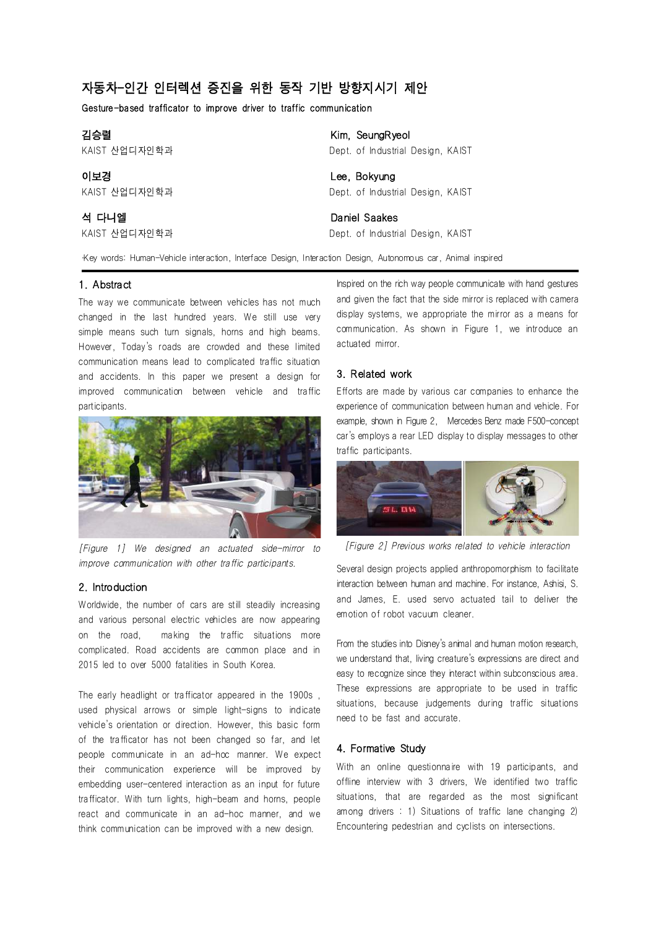# 자동차-인간 인터렉션 증진을 위한 동작 기반 방향지시기 제안

Gesture-based trafficator to improve driver to traffic communication

| 김승렬           | Kim, SeungRyeol                   |
|---------------|-----------------------------------|
| KAIST 산업디자인학과 | Dept. of Industrial Design, KAIST |
| 이보경           | Lee, Bokyung                      |
| KAIST 산업디자인학과 | Dept. of Industrial Design, KAIST |
| 석 다니엘         | Daniel Saakes                     |
| KAIST 산업디자인학과 | Dept. of Industrial Design, KAIST |

∙Key words: Human-Vehicle interaction, Interface Design, Interaction Design, Autonomous car, Animal inspired

## 1. Abstract

The way we communicate between vehicles has not much changed in the last hundred years. We still use very simple means such turn signals, horns and high beams. However, Today's roads are crowded and these limited communication means lead to complicated traffic situation and accidents. In this paper we present a design for improved communication between vehicle and traffic participants.



[Figure 1] We designed an actuated side-mirror to improve communication with other traffic participants.

### 2. Introduction

Worldwide, the number of cars are still steadily increasing and various personal electric vehicles are now appearing on the road, making the traffic situations more complicated. Road accidents are common place and in 2015 led to over 5000 fatalities in South Korea.

The early headlight or trafficator appeared in the 1900s , used physical arrows or simple light-signs to indicate vehicle's orientation or direction. However, this basic form of the trafficator has not been changed so far, and let people communicate in an ad-hoc manner. We expect their communication experience will be improved by embedding user-centered interaction as an input for future trafficator. With turn lights, high-beam and horns, people react and communicate in an ad-hoc manner, and we think communication can be improved with a new design.

Inspired on the rich way people communicate with hand gestures and given the fact that the side mirror is replaced with camera display systems, we appropriate the mirror as a means for communication. As shown in Figure 1, we introduce an actuated mirror.

#### 3. Related work

Efforts are made by various car companies to enhance the experience of communication between human and vehicle. For example, shown in Figure 2, Mercedes Benz made F500-concept car's employs a rear LED display to display messages to other traffic participants.



[Figure 2] Previous works related to vehicle interaction

Several design projects applied anthropomorphism to facilitate interaction between human and machine. For instance, Ashisi, S. and James, E. used servo actuated tail to deliver the emotion of robot vacuum cleaner.

From the studies into Disney's animal and human motion research, we understand that, living creature's expressions are direct and easy to recognize since they interact within subconscious area. These expressions are appropriate to be used in traffic situations, because judgements during traffic situations need to be fast and accurate.

#### 4. Formative Study

With an online questionnaire with 19 participants, and offline interview with 3 drivers, We identified two traffic situations, that are regarded as the most significant among drivers : 1) Situations of traffic lane changing 2) Encountering pedestrian and cyclists on intersections.